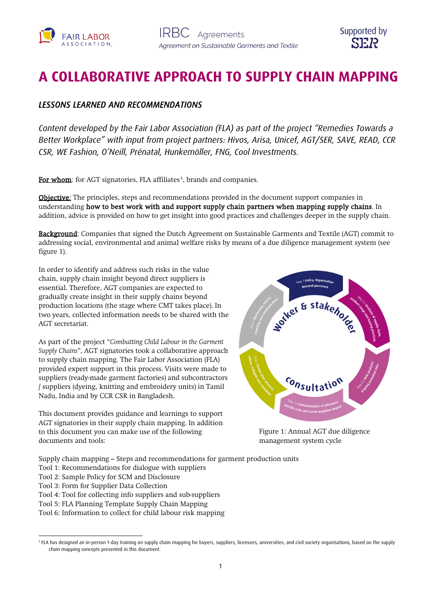



# **A COLLABORATIVE APPROACH TO SUPPLY CHAIN MAPPING**

## *LESSONS LEARNED AND RECOMMENDATIONS*

*Content developed by the Fair Labor Association (FLA) as part of the project "Remedies Towards a Better Workplace" with input from project partners: Hivos, Arisa, Unicef, AGT/SER, SAVE, READ, CCR CSR, WE Fashion, O'Neill, Prénatal, Hunkemöller, FNG, Cool Investments.*

For whom: for AGT signatories, FLA affiliates<sup>[1](#page-0-0)</sup>, brands and companies.

**Objective:** The principles, steps and recommendations provided in the document support companies in understanding how to best work with and support supply chain partners when mapping supply chains. In addition, advice is provided on how to get insight into good practices and challenges deeper in the supply chain.

Background: Companies that signed the Dutch Agreement on Sustainable Garments and Textile (AGT) commit to addressing social, environmental and animal welfare risks by means of a due diligence management system (see figure 1).

In order to identify and address such risks in the value chain, supply chain insight beyond direct suppliers is essential. Therefore, AGT companies are expected to gradually create insight in their supply chains beyond production locations (the stage where CMT takes place). In two years, collected information needs to be shared with the AGT secretariat.

As part of the project "*Combatting Child Labour in the Garment Supply Chains"*, AGT signatories took a collaborative approach to supply chain mapping. The Fair Labor Association (FLA) provided expert support in this process. Visits were made to suppliers (ready-made garment factories) and subcontractors / suppliers (dyeing, knitting and embroidery units) in Tamil Nadu, India and by CCR CSR in Bangladesh.

This document provides guidance and learnings to support AGT signatories in their supply chain mapping. In addition to this document you can make use of the following documents and tools:



Figure 1: Annual AGT due diligence management system cycle

Supply chain mapping – Steps and recommendations for garment production units

- Tool 1: Recommendations for dialogue with suppliers
- Tool 2: Sample Policy for SCM and Disclosure
- Tool 3: Form for Supplier Data Collection
- Tool 4: Tool for collecting info suppliers and sub-suppliers
- Tool 5: FLA Planning Template Supply Chain Mapping
- Tool 6: Information to collect for child labour risk mapping

<span id="page-0-0"></span><sup>&</sup>lt;sup>1</sup> FLA has designed an in-person 1-day training on supply chain mapping for buyers, suppliers, licensees, universities, and civil society organisations, based on the supply chain mapping concepts presented in this document.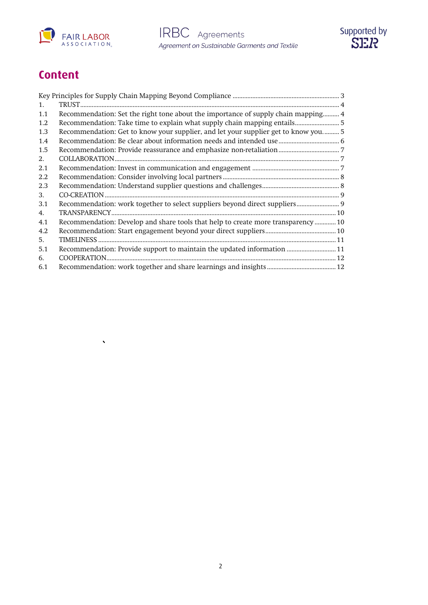

 $\hat{\mathbf{v}}$ 



# **Content**

| 1.  |                                                                                    |  |
|-----|------------------------------------------------------------------------------------|--|
| 1.1 | Recommendation: Set the right tone about the importance of supply chain mapping 4  |  |
| 1.2 |                                                                                    |  |
| 1.3 | Recommendation: Get to know your supplier, and let your supplier get to know you 5 |  |
| 1.4 |                                                                                    |  |
| 1.5 |                                                                                    |  |
| 2.  |                                                                                    |  |
| 2.1 |                                                                                    |  |
| 2.2 |                                                                                    |  |
| 2.3 |                                                                                    |  |
| 3.  |                                                                                    |  |
| 3.1 | Recommendation: work together to select suppliers beyond direct suppliers 9        |  |
| 4.  |                                                                                    |  |
| 4.1 | Recommendation: Develop and share tools that help to create more transparency 10   |  |
| 4.2 |                                                                                    |  |
| 5.  |                                                                                    |  |
| 5.1 | Recommendation: Provide support to maintain the updated information  11            |  |
| 6.  |                                                                                    |  |
| 6.1 |                                                                                    |  |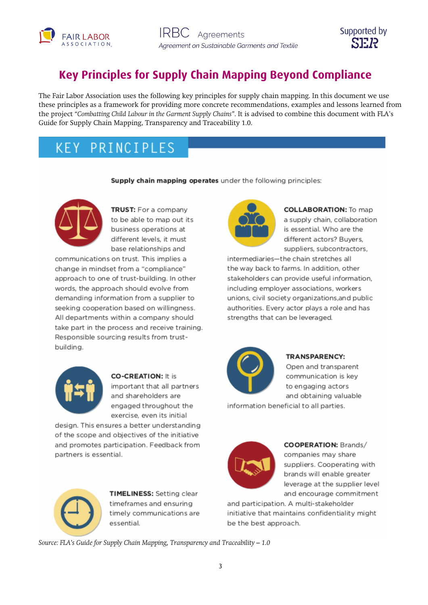



# <span id="page-2-0"></span>**Key Principles for Supply Chain Mapping Beyond Compliance**

The Fair Labor Association uses the following key principles for supply chain mapping. In this document we use these principles as a framework for providing more concrete recommendations, examples and lessons learned from the project *"Combatting Child Labour in the Garment Supply Chains"*. It is advised to combine this document with FLA's Guide for Supply Chain Mapping, Transparency and Traceability 1.0.

#### PRINCIPLES  $K$   $F$   $Y$

### Supply chain mapping operates under the following principles:



**TRUST:** For a company to be able to map out its business operations at different levels, it must base relationships and

communications on trust. This implies a change in mindset from a "compliance" approach to one of trust-building. In other words, the approach should evolve from demanding information from a supplier to seeking cooperation based on willingness. All departments within a company should take part in the process and receive training. Responsible sourcing results from trustbuilding.



**COLLABORATION:** To map a supply chain, collaboration is essential. Who are the different actors? Buyers, suppliers, subcontractors,

intermediaries-the chain stretches all the way back to farms. In addition, other stakeholders can provide useful information, including employer associations, workers unions, civil society organizations, and public authorities. Every actor plays a role and has strengths that can be leveraged.



### **TRANSPARENCY:**

Open and transparent communication is key to engaging actors and obtaining valuable

information beneficial to all parties.



**COOPERATION: Brands/** companies may share suppliers. Cooperating with brands will enable greater leverage at the supplier level and encourage commitment

and participation. A multi-stakeholder initiative that maintains confidentiality might be the best approach.





**CO-CREATION: It is** important that all partners and shareholders are engaged throughout the exercise, even its initial

design. This ensures a better understanding of the scope and objectives of the initiative and promotes participation. Feedback from partners is essential.



**TIMELINESS:** Setting clear timeframes and ensuring timely communications are essential.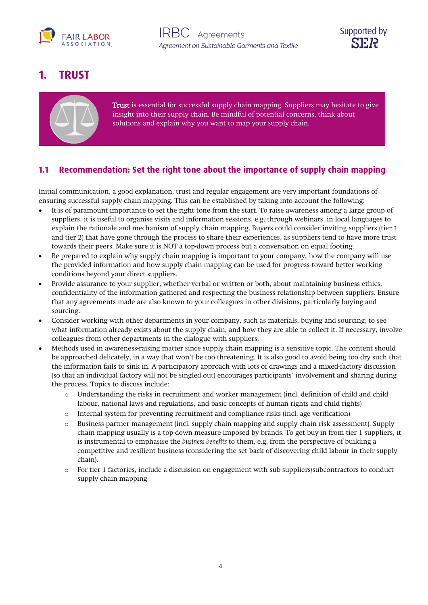



# <span id="page-3-0"></span>**1. TRUST**



Trust is essential for successful supply chain mapping. Suppliers may hesitate to give insight into their supply chain. Be mindful of potential concerns, think about solutions and explain why you want to map your supply chain.

## <span id="page-3-1"></span>**1.1 Recommendation: Set the right tone about the importance of supply chain mapping**

Initial communication, a good explanation, trust and regular engagement are very important foundations of ensuring successful supply chain mapping. This can be established by taking into account the following:

- It is of paramount importance to set the right tone from the start. To raise awareness among a large group of suppliers, it is useful to organise visits and information sessions, e.g. through webinars, in local languages to explain the rationale and mechanism of supply chain mapping. Buyers could consider inviting suppliers (tier 1 and tier 2) that have gone through the process to share their experiences, as suppliers tend to have more trust towards their peers. Make sure it is NOT a top-down process but a conversation on equal footing.
- Be prepared to explain why supply chain mapping is important to your company, how the company will use the provided information and how supply chain mapping can be used for progress toward better working conditions beyond your direct suppliers.
- Provide assurance to your supplier, whether verbal or written or both, about maintaining business ethics, confidentiality of the information gathered and respecting the business relationship between suppliers. Ensure that any agreements made are also known to your colleagues in other divisions, particularly buying and sourcing.
- Consider working with other departments in your company, such as materials, buying and sourcing, to see what information already exists about the supply chain, and how they are able to collect it. If necessary, involve colleagues from other departments in the dialogue with suppliers.
- Methods used in awareness-raising matter since supply chain mapping is a sensitive topic. The content should be approached delicately, in a way that won't be too threatening. It is also good to avoid being too dry such that the information fails to sink in. A participatory approach with lots of drawings and a mixed-factory discussion (so that an individual factory will not be singled out) encourages participants' involvement and sharing during the process. Topics to discuss include:
	- o Understanding the risks in recruitment and worker management (incl. definition of child and child labour, national laws and regulations, and basic concepts of human rights and child rights)
	- o Internal system for preventing recruitment and compliance risks (incl. age verification)
	- o Business partner management (incl. supply chain mapping and supply chain risk assessment). Supply chain mapping usually is a top-down measure imposed by brands. To get buy-in from tier 1 suppliers, it is instrumental to emphasise the *business benefits* to them, e.g. from the perspective of building a competitive and resilient business (considering the set back of discovering child labour in their supply chain).
	- For tier 1 factories, include a discussion on engagement with sub-suppliers/subcontractors to conduct supply chain mapping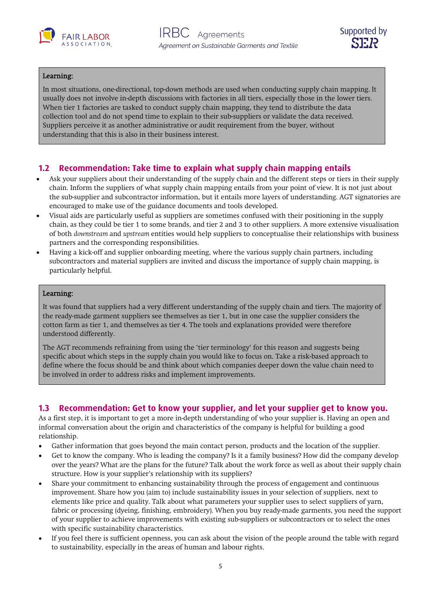



#### í Learning:

In most situations, one-directional, top-down methods are used when conducting supply chain mapping. It usually does not involve in-depth discussions with factories in all tiers, especially those in the lower tiers. When tier 1 factories are tasked to conduct supply chain mapping, they tend to distribute the data collection tool and do not spend time to explain to their sub-suppliers or validate the data received. Suppliers perceive it as another administrative or audit requirement from the buyer, without understanding that this is also in their business interest.

## <span id="page-4-0"></span>**1.2 Recommendation: Take time to explain what supply chain mapping entails**

- Ask your suppliers about their understanding of the supply chain and the different steps or tiers in their supply chain. Inform the suppliers of what supply chain mapping entails from your point of view. It is not just about the sub-supplier and subcontractor information, but it entails more layers of understanding. AGT signatories are encouraged to make use of the guidance documents and tools developed.
- Visual aids are particularly useful as suppliers are sometimes confused with their positioning in the supply chain, as they could be tier 1 to some brands, and tier 2 and 3 to other suppliers. A more extensive visualisation of both *downstream* and *upstream* entities would help suppliers to conceptualise their relationships with business partners and the corresponding responsibilities.
- Having a kick-off and supplier onboarding meeting, where the various supply chain partners, including subcontractors and material suppliers are invited and discuss the importance of supply chain mapping, is particularly helpful.

#### ī Learning:

It was found that suppliers had a very different understanding of the supply chain and tiers. The majority of the ready-made garment suppliers see themselves as tier 1, but in one case the supplier considers the cotton farm as tier 1, and themselves as tier 4. The tools and explanations provided were therefore understood differently.

The AGT recommends refraining from using the 'tier terminology' for this reason and suggests being specific about which steps in the supply chain you would like to focus on. Take a risk-based approach to define where the focus should be and think about which companies deeper down the value chain need to be involved in order to address risks and implement improvements.

## <span id="page-4-1"></span>**1.3 Recommendation: Get to know your supplier, and let your supplier get to know you.**

As a first step, it is important to get a more in-depth understanding of who your supplier is. Having an open and informal conversation about the origin and characteristics of the company is helpful for building a good relationship.

- Gather information that goes beyond the main contact person, products and the location of the supplier.
- Get to know the company. Who is leading the company? Is it a family business? How did the company develop over the years? What are the plans for the future? Talk about the work force as well as about their supply chain structure. How is your supplier's relationship with its suppliers?
- Share your commitment to enhancing sustainability through the process of engagement and continuous improvement. Share how you (aim to) include sustainability issues in your selection of suppliers, next to elements like price and quality. Talk about what parameters your supplier uses to select suppliers of yarn, fabric or processing (dyeing, finishing, embroidery). When you buy ready-made garments, you need the support of your supplier to achieve improvements with existing sub-suppliers or subcontractors or to select the ones with specific sustainability characteristics.
- If you feel there is sufficient openness, you can ask about the vision of the people around the table with regard to sustainability, especially in the areas of human and labour rights.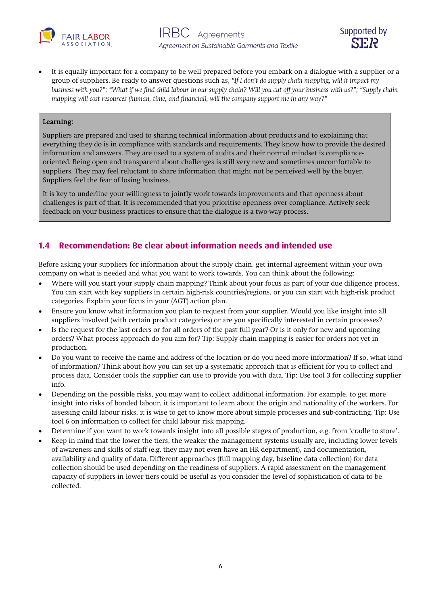



• It is equally important for a company to be well prepared before you embark on a dialogue with a supplier or a group of suppliers. Be ready to answer questions such as, *"If I don't do supply chain mapping, will it impact my business with you?"; "What if we find child labour in our supply chain? Will you cut off your business with us?"; "Supply chain mapping will cost resources (human, time, and financial), will the company support me in any way?"*

#### í Learning:

Suppliers are prepared and used to sharing technical information about products and to explaining that everything they do is in compliance with standards and requirements. They know how to provide the desired information and answers. They are used to a system of audits and their normal mindset is complianceoriented. Being open and transparent about challenges is still very new and sometimes uncomfortable to suppliers. They may feel reluctant to share information that might not be perceived well by the buyer. Suppliers feel the fear of losing business.

It is key to underline your willingness to jointly work towards improvements and that openness about challenges is part of that. It is recommended that you prioritise openness over compliance. Actively seek feedback on your business practices to ensure that the dialogue is a two-way process.

## <span id="page-5-0"></span>**1.4 Recommendation: Be clear about information needs and intended use**

Before asking your suppliers for information about the supply chain, get internal agreement within your own company on what is needed and what you want to work towards. You can think about the following:

- Where will you start your supply chain mapping? Think about your focus as part of your due diligence process. You can start with key suppliers in certain high-risk countries/regions, or you can start with high-risk product categories. Explain your focus in your (AGT) action plan.
- Ensure you know what information you plan to request from your supplier. Would you like insight into all suppliers involved (with certain product categories) or are you specifically interested in certain processes?
- Is the request for the last orders or for all orders of the past full year? Or is it only for new and upcoming orders? What process approach do you aim for? Tip: Supply chain mapping is easier for orders not yet in production.
- Do you want to receive the name and address of the location or do you need more information? If so, what kind of information? Think about how you can set up a systematic approach that is efficient for you to collect and process data. Consider tools the supplier can use to provide you with data. Tip: Use tool 3 for collecting supplier info.
- Depending on the possible risks, you may want to collect additional information. For example, to get more insight into risks of bonded labour, it is important to learn about the origin and nationality of the workers. For assessing child labour risks, it is wise to get to know more about simple processes and sub-contracting. Tip: Use tool 6 on information to collect for child labour risk mapping.
- Determine if you want to work towards insight into all possible stages of production, e.g. from 'cradle to store'.
- Keep in mind that the lower the tiers, the weaker the management systems usually are, including lower levels of awareness and skills of staff (e.g. they may not even have an HR department), and documentation, availability and quality of data. Different approaches (full mapping day, baseline data collection) for data collection should be used depending on the readiness of suppliers. A rapid assessment on the management capacity of suppliers in lower tiers could be useful as you consider the level of sophistication of data to be collected.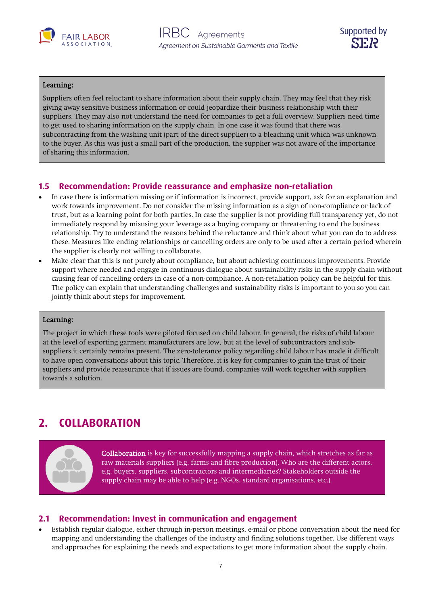



### Learning:

Suppliers often feel reluctant to share information about their supply chain. They may feel that they risk giving away sensitive business information or could jeopardize their business relationship with their suppliers. They may also not understand the need for companies to get a full overview. Suppliers need time to get used to sharing information on the supply chain. In one case it was found that there was subcontracting from the washing unit (part of the direct supplier) to a bleaching unit which was unknown to the buyer. As this was just a small part of the production, the supplier was not aware of the importance of sharing this information.

## <span id="page-6-0"></span>**1.5 Recommendation: Provide reassurance and emphasize non-retaliation**

- In case there is information missing or if information is incorrect, provide support, ask for an explanation and work towards improvement. Do not consider the missing information as a sign of non-compliance or lack of trust, but as a learning point for both parties. In case the supplier is not providing full transparency yet, do not immediately respond by misusing your leverage as a buying company or threatening to end the business relationship. Try to understand the reasons behind the reluctance and think about what you can do to address these. Measures like ending relationships or cancelling orders are only to be used after a certain period wherein the supplier is clearly not willing to collaborate.
- Make clear that this is not purely about compliance, but about achieving continuous improvements. Provide support where needed and engage in continuous dialogue about sustainability risks in the supply chain without causing fear of cancelling orders in case of a non-compliance. A non-retaliation policy can be helpful for this. The policy can explain that understanding challenges and sustainability risks is important to you so you can jointly think about steps for improvement.

#### í Learning:

The project in which these tools were piloted focused on child labour. In general, the risks of child labour at the level of exporting garment manufacturers are low, but at the level of subcontractors and subsuppliers it certainly remains present. The zero-tolerance policy regarding child labour has made it difficult to have open conversations about this topic. Therefore, it is key for companies to gain the trust of their suppliers and provide reassurance that if issues are found, companies will work together with suppliers towards a solution.

# <span id="page-6-1"></span>**2. COLLABORATION**



Collaboration is key for successfully mapping a supply chain, which stretches as far as raw materials suppliers (e.g. farms and fibre production). Who are the different actors, e.g. buyers, suppliers, subcontractors and intermediaries? Stakeholders outside the supply chain may be able to help (e.g. NGOs, standard organisations, etc.).

### <span id="page-6-2"></span>**2.1 Recommendation: Invest in communication and engagement**

• Establish regular dialogue, either through in-person meetings, e-mail or phone conversation about the need for mapping and understanding the challenges of the industry and finding solutions together. Use different ways and approaches for explaining the needs and expectations to get more information about the supply chain.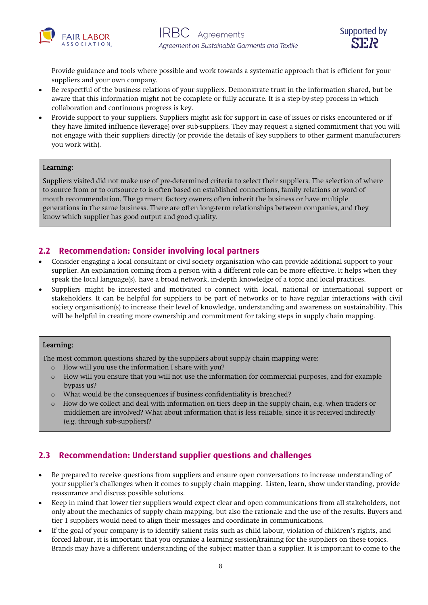



Provide guidance and tools where possible and work towards a systematic approach that is efficient for your suppliers and your own company.

- Be respectful of the business relations of your suppliers. Demonstrate trust in the information shared, but be aware that this information might not be complete or fully accurate. It is a step-by-step process in which collaboration and continuous progress is key.
- Provide support to your suppliers. Suppliers might ask for support in case of issues or risks encountered or if they have limited influence (leverage) over sub-suppliers. They may request a signed commitment that you will not engage with their suppliers directly (or provide the details of key suppliers to other garment manufacturers you work with).

### Learning:

Suppliers visited did not make use of pre-determined criteria to select their suppliers. The selection of where to source from or to outsource to is often based on established connections, family relations or word of mouth recommendation. The garment factory owners often inherit the business or have multiple generations in the same business. There are often long-term relationships between companies, and they know which supplier has good output and good quality.

## <span id="page-7-0"></span>**2.2 Recommendation: Consider involving local partners**

- Consider engaging a local consultant or civil society organisation who can provide additional support to your supplier. An explanation coming from a person with a different role can be more effective. It helps when they speak the local language(s), have a broad network, in-depth knowledge of a topic and local practices.
- Suppliers might be interested and motivated to connect with local, national or international support or stakeholders. It can be helpful for suppliers to be part of networks or to have regular interactions with civil society organisation(s) to increase their level of knowledge, understanding and awareness on sustainability. This will be helpful in creating more ownership and commitment for taking steps in supply chain mapping.

#### í Learning:

The most common questions shared by the suppliers about supply chain mapping were:

- o How will you use the information I share with you?
- o How will you ensure that you will not use the information for commercial purposes, and for example bypass us?
- o What would be the consequences if business confidentiality is breached?
- o How do we collect and deal with information on tiers deep in the supply chain, e.g. when traders or middlemen are involved? What about information that is less reliable, since it is received indirectly (e.g. through sub-suppliers)?

## <span id="page-7-1"></span>**2.3 Recommendation: Understand supplier questions and challenges**

- Be prepared to receive questions from suppliers and ensure open conversations to increase understanding of your supplier's challenges when it comes to supply chain mapping. Listen, learn, show understanding, provide reassurance and discuss possible solutions.
- Keep in mind that lower tier suppliers would expect clear and open communications from all stakeholders, not only about the mechanics of supply chain mapping, but also the rationale and the use of the results. Buyers and tier 1 suppliers would need to align their messages and coordinate in communications.
- If the goal of your company is to identify salient risks such as child labour, violation of children's rights, and forced labour, it is important that you organize a learning session/training for the suppliers on these topics. Brands may have a different understanding of the subject matter than a supplier. It is important to come to the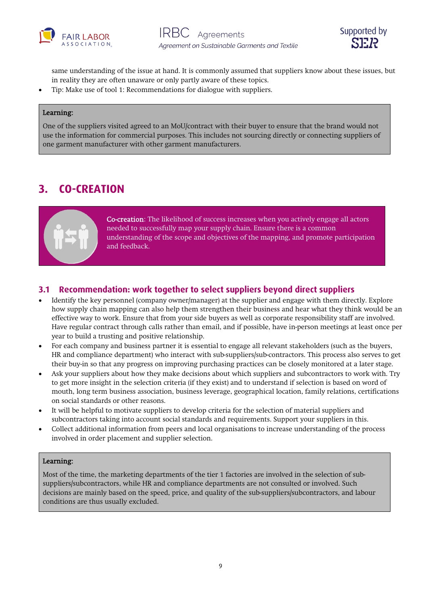



same understanding of the issue at hand. It is commonly assumed that suppliers know about these issues, but in reality they are often unaware or only partly aware of these topics.

• Tip: Make use of tool 1: Recommendations for dialogue with suppliers.

#### í Learning:

One of the suppliers visited agreed to an MoU/contract with their buyer to ensure that the brand would not use the information for commercial purposes. This includes not sourcing directly or connecting suppliers of one garment manufacturer with other garment manufacturers.

# <span id="page-8-0"></span>**3. CO-CREATION**



Co-creation: The likelihood of success increases when you actively engage all actors needed to successfully map your supply chain. Ensure there is a common understanding of the scope and objectives of the mapping, and promote participation and feedback.

## <span id="page-8-1"></span>**3.1 Recommendation: work together to select suppliers beyond direct suppliers**

- Identify the key personnel (company owner/manager) at the supplier and engage with them directly. Explore how supply chain mapping can also help them strengthen their business and hear what they think would be an effective way to work. Ensure that from your side buyers as well as corporate responsibility staff are involved. Have regular contract through calls rather than email, and if possible, have in-person meetings at least once per year to build a trusting and positive relationship.
- For each company and business partner it is essential to engage all relevant stakeholders (such as the buyers, HR and compliance department) who interact with sub-suppliers/sub-contractors. This process also serves to get their buy-in so that any progress on improving purchasing practices can be closely monitored at a later stage.
- Ask your suppliers about how they make decisions about which suppliers and subcontractors to work with. Try to get more insight in the selection criteria (if they exist) and to understand if selection is based on word of mouth, long term business association, business leverage, geographical location, family relations, certifications on social standards or other reasons.
- It will be helpful to motivate suppliers to develop criteria for the selection of material suppliers and subcontractors taking into account social standards and requirements. Support your suppliers in this.
- Collect additional information from peers and local organisations to increase understanding of the process involved in order placement and supplier selection.

### Learning:

Most of the time, the marketing departments of the tier 1 factories are involved in the selection of subsuppliers/subcontractors, while HR and compliance departments are not consulted or involved. Such decisions are mainly based on the speed, price, and quality of the sub-suppliers/subcontractors, and labour conditions are thus usually excluded.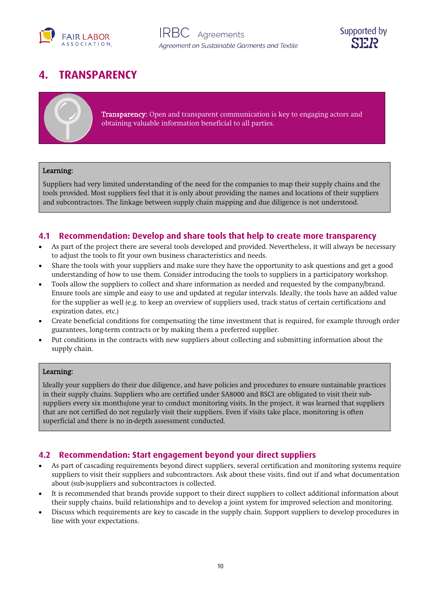



# <span id="page-9-0"></span>**4. TRANSPARENCY**

| <b>Transparency:</b> Open and transparent communication is key to engaging actors and |
|---------------------------------------------------------------------------------------|
| obtaining valuable information beneficial to all parties.                             |

#### ī Learning:

Suppliers had very limited understanding of the need for the companies to map their supply chains and the tools provided. Most suppliers feel that it is only about providing the names and locations of their suppliers and subcontractors. The linkage between supply chain mapping and due diligence is not understood.

### <span id="page-9-1"></span>**4.1 Recommendation: Develop and share tools that help to create more transparency**

- As part of the project there are several tools developed and provided. Nevertheless, it will always be necessary to adjust the tools to fit your own business characteristics and needs.
- Share the tools with your suppliers and make sure they have the opportunity to ask questions and get a good understanding of how to use them. Consider introducing the tools to suppliers in a participatory workshop.
- Tools allow the suppliers to collect and share information as needed and requested by the company/brand. Ensure tools are simple and easy to use and updated at regular intervals. Ideally, the tools have an added value for the supplier as well (e.g. to keep an overview of suppliers used, track status of certain certifications and expiration dates, etc.)
- Create beneficial conditions for compensating the time investment that is required, for example through order guarantees, long-term contracts or by making them a preferred supplier.
- Put conditions in the contracts with new suppliers about collecting and submitting information about the supply chain.

#### ī Learning:

Ideally your suppliers do their due diligence, and have policies and procedures to ensure sustainable practices in their supply chains. Suppliers who are certified under SA8000 and BSCI are obligated to visit their subsuppliers every six months/one year to conduct monitoring visits. In the project, it was learned that suppliers that are not certified do not regularly visit their suppliers. Even if visits take place, monitoring is often superficial and there is no in-depth assessment conducted.

### <span id="page-9-2"></span>**4.2 Recommendation: Start engagement beyond your direct suppliers**

- As part of cascading requirements beyond direct suppliers, several certification and monitoring systems require suppliers to visit their suppliers and subcontractors. Ask about these visits, find out if and what documentation about (sub-)suppliers and subcontractors is collected.
- It is recommended that brands provide support to their direct suppliers to collect additional information about their supply chains, build relationships and to develop a joint system for improved selection and monitoring.
- Discuss which requirements are key to cascade in the supply chain. Support suppliers to develop procedures in line with your expectations.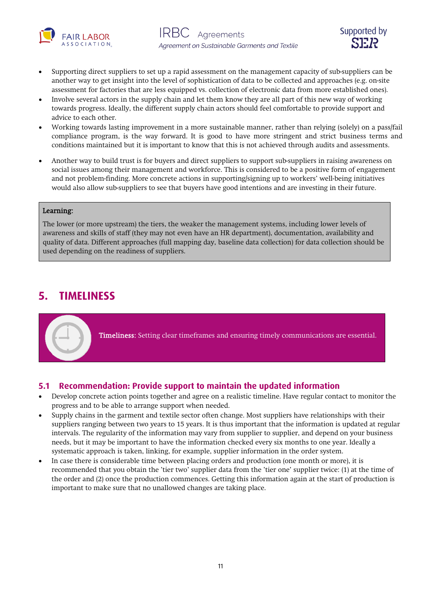



- Supporting direct suppliers to set up a rapid assessment on the management capacity of sub-suppliers can be another way to get insight into the level of sophistication of data to be collected and approaches (e.g. on-site assessment for factories that are less equipped vs. collection of electronic data from more established ones).
- Involve several actors in the supply chain and let them know they are all part of this new way of working towards progress. Ideally, the different supply chain actors should feel comfortable to provide support and advice to each other.
- Working towards lasting improvement in a more sustainable manner, rather than relying (solely) on a pass/fail compliance program, is the way forward. It is good to have more stringent and strict business terms and conditions maintained but it is important to know that this is not achieved through audits and assessments.
- Another way to build trust is for buyers and direct suppliers to support sub-suppliers in raising awareness on social issues among their management and workforce. This is considered to be a positive form of engagement and not problem-finding. More concrete actions in supporting/signing up to workers' well-being initiatives would also allow sub-suppliers to see that buyers have good intentions and are investing in their future.

#### ī Learning:

The lower (or more upstream) the tiers, the weaker the management systems, including lower levels of awareness and skills of staff (they may not even have an HR department), documentation, availability and quality of data. Different approaches (full mapping day, baseline data collection) for data collection should be used depending on the readiness of suppliers.

# <span id="page-10-0"></span>**5. TIMELINESS**

Timeliness: Setting clear timeframes and ensuring timely communications are essential.

## <span id="page-10-1"></span>**5.1 Recommendation: Provide support to maintain the updated information**

- Develop concrete action points together and agree on a realistic timeline. Have regular contact to monitor the progress and to be able to arrange support when needed.
- Supply chains in the garment and textile sector often change. Most suppliers have relationships with their suppliers ranging between two years to 15 years. It is thus important that the information is updated at regular intervals. The regularity of the information may vary from supplier to supplier, and depend on your business needs, but it may be important to have the information checked every six months to one year. Ideally a systematic approach is taken, linking, for example, supplier information in the order system.
- In case there is considerable time between placing orders and production (one month or more), it is recommended that you obtain the 'tier two' supplier data from the 'tier one' supplier twice: (1) at the time of the order and (2) once the production commences. Getting this information again at the start of production is important to make sure that no unallowed changes are taking place.